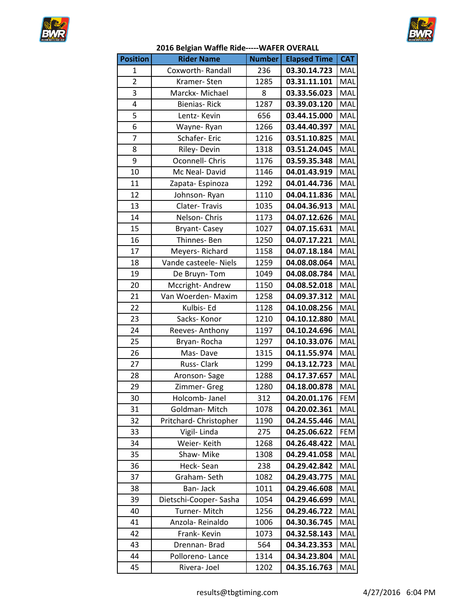



| 2016 Belgian Waffle Ride----- WAFER OVERALL |                       |               |                     |            |
|---------------------------------------------|-----------------------|---------------|---------------------|------------|
| <b>Position</b>                             | <b>Rider Name</b>     | <b>Number</b> | <b>Elapsed Time</b> | <b>CAT</b> |
| 1                                           | Coxworth-Randall      | 236           | 03.30.14.723        | MAL        |
| $\overline{2}$                              | Kramer-Sten           | 1285          | 03.31.11.101        | MAL        |
| 3                                           | Marckx-Michael        | 8             | 03.33.56.023        | MAL        |
| 4                                           | <b>Bienias-Rick</b>   | 1287          | 03.39.03.120        | MAL        |
| 5                                           | Lentz-Kevin           | 656           | 03.44.15.000        | MAL        |
| 6                                           | Wayne-Ryan            | 1266          | 03.44.40.397        | MAL        |
| $\overline{7}$                              | Schafer-Eric          | 1216          | 03.51.10.825        | MAL        |
| 8                                           | Riley-Devin           | 1318          | 03.51.24.045        | MAL        |
| 9                                           | Oconnell- Chris       | 1176          | 03.59.35.348        | MAL        |
| 10                                          | Mc Neal-David         | 1146          | 04.01.43.919        | MAL        |
| 11                                          | Zapata-Espinoza       | 1292          | 04.01.44.736        | MAL        |
| 12                                          | Johnson-Ryan          | 1110          | 04.04.11.836        | MAL        |
| 13                                          | Clater-Travis         | 1035          | 04.04.36.913        | MAL        |
| 14                                          | Nelson-Chris          | 1173          | 04.07.12.626        | MAL        |
| 15                                          | <b>Bryant-Casey</b>   | 1027          | 04.07.15.631        | MAL        |
| 16                                          | Thinnes-Ben           | 1250          | 04.07.17.221        | MAL        |
| 17                                          | Meyers-Richard        | 1158          | 04.07.18.184        | MAL        |
| 18                                          | Vande casteele- Niels | 1259          | 04.08.08.064        | MAL        |
| 19                                          | De Bruyn-Tom          | 1049          | 04.08.08.784        | MAL        |
| 20                                          | Mccright-Andrew       | 1150          | 04.08.52.018        | MAL        |
| 21                                          | Van Woerden- Maxim    | 1258          | 04.09.37.312        | MAL        |
| 22                                          | Kulbis- Ed            | 1128          | 04.10.08.256        | MAL        |
| 23                                          | Sacks-Konor           | 1210          | 04.10.12.880        | MAL        |
| 24                                          | Reeves-Anthony        | 1197          | 04.10.24.696        | MAL        |
| 25                                          | Bryan-Rocha           | 1297          | 04.10.33.076        | MAL        |
| 26                                          | Mas-Dave              | 1315          | 04.11.55.974        | MAL        |
|                                             |                       |               |                     |            |

| 6  | Wayne-Ryan             | 1266 | 03.44.40.397 | MAL        |
|----|------------------------|------|--------------|------------|
| 7  | Schafer-Eric           | 1216 | 03.51.10.825 | MAL        |
| 8  | Riley-Devin            | 1318 | 03.51.24.045 | MAL        |
| 9  | Oconnell- Chris        | 1176 | 03.59.35.348 | MAL        |
| 10 | Mc Neal-David          | 1146 | 04.01.43.919 | MAL        |
| 11 | Zapata-Espinoza        | 1292 | 04.01.44.736 | MAL        |
| 12 | Johnson-Ryan           | 1110 | 04.04.11.836 | MAL        |
| 13 | Clater-Travis          | 1035 | 04.04.36.913 | MAL        |
| 14 | Nelson-Chris           | 1173 | 04.07.12.626 | MAL        |
| 15 | <b>Bryant-Casey</b>    | 1027 | 04.07.15.631 | MAL        |
| 16 | Thinnes-Ben            | 1250 | 04.07.17.221 | MAL        |
| 17 | Meyers-Richard         | 1158 | 04.07.18.184 | MAL        |
| 18 | Vande casteele- Niels  | 1259 | 04.08.08.064 | MAL        |
| 19 | De Bruyn-Tom           | 1049 | 04.08.08.784 | MAL        |
| 20 | Mccright-Andrew        | 1150 | 04.08.52.018 | MAL        |
| 21 | Van Woerden- Maxim     | 1258 | 04.09.37.312 | MAL        |
| 22 | Kulbis- Ed             | 1128 | 04.10.08.256 | MAL        |
| 23 | Sacks-Konor            | 1210 | 04.10.12.880 | MAL        |
| 24 | Reeves-Anthony         | 1197 | 04.10.24.696 | MAL        |
| 25 | Bryan-Rocha            | 1297 | 04.10.33.076 | MAL        |
| 26 | Mas-Dave               | 1315 | 04.11.55.974 | MAL        |
| 27 | Russ-Clark             | 1299 | 04.13.12.723 | MAL        |
| 28 | Aronson-Sage           | 1288 | 04.17.37.657 | MAL        |
| 29 | Zimmer- Greg           | 1280 | 04.18.00.878 | MAL        |
| 30 | Holcomb- Janel         | 312  | 04.20.01.176 | <b>FEM</b> |
| 31 | Goldman-Mitch          | 1078 | 04.20.02.361 | MAL        |
| 32 | Pritchard- Christopher | 1190 | 04.24.55.446 | MAL        |
| 33 | Vigil-Linda            | 275  | 04.25.06.622 | <b>FEM</b> |
| 34 | Weier-Keith            | 1268 | 04.26.48.422 | MAL        |
| 35 | Shaw-Mike              | 1308 | 04.29.41.058 | MAL        |
| 36 | Heck-Sean              | 238  | 04.29.42.842 | MAL        |
| 37 | Graham-Seth            | 1082 | 04.29.43.775 | MAL        |
| 38 | Ban-Jack               | 1011 | 04.29.46.608 | MAL        |
| 39 | Dietschi-Cooper- Sasha | 1054 | 04.29.46.699 | MAL        |
| 40 | Turner-Mitch           | 1256 | 04.29.46.722 | MAL        |
| 41 | Anzola-Reinaldo        | 1006 | 04.30.36.745 | MAL        |
| 42 | Frank- Kevin           | 1073 | 04.32.58.143 | MAL        |
| 43 | Drennan-Brad           | 564  | 04.34.23.353 | MAL        |
| 44 | Polloreno-Lance        | 1314 | 04.34.23.804 | MAL        |
| 45 | Rivera-Joel            | 1202 | 04.35.16.763 | MAL        |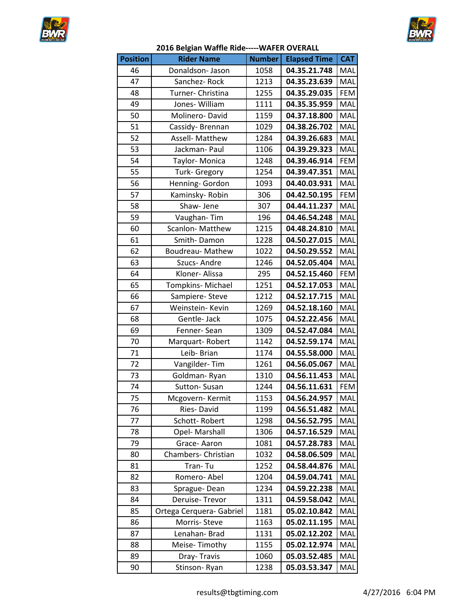



| 2016 Belgian Waffle Ride----- WAFER OVERALL |
|---------------------------------------------|
|---------------------------------------------|

| <b>Position</b> | <b>Rider Name</b>        | <b>Number</b> | <b>Elapsed Time</b> | <b>CAT</b> |
|-----------------|--------------------------|---------------|---------------------|------------|
| 46              | Donaldson-Jason          | 1058          | 04.35.21.748        | MAL        |
| 47              | Sanchez-Rock             | 1213          | 04.35.23.639        | MAL        |
| 48              | Turner- Christina        | 1255          | 04.35.29.035        | <b>FEM</b> |
| 49              | Jones-William            | 1111          | 04.35.35.959        | MAL        |
| 50              | Molinero-David           | 1159          | 04.37.18.800        | MAL        |
| 51              | Cassidy-Brennan          | 1029          | 04.38.26.702        | MAL        |
| $\overline{52}$ | Assell- Matthew          | 1284          | 04.39.26.683        | MAL        |
| 53              | Jackman- Paul            | 1106          | 04.39.29.323        | MAL        |
| 54              | Taylor-Monica            | 1248          | 04.39.46.914        | <b>FEM</b> |
| 55              | <b>Turk-Gregory</b>      | 1254          | 04.39.47.351        | MAL        |
| 56              | Henning- Gordon          | 1093          | 04.40.03.931        | MAL        |
| 57              | Kaminsky-Robin           | 306           | 04.42.50.195        | <b>FEM</b> |
| 58              | Shaw-Jene                | 307           | 04.44.11.237        | MAL        |
| 59              | Vaughan-Tim              | 196           | 04.46.54.248        | MAL        |
| 60              | Scanlon-Matthew          | 1215          | 04.48.24.810        | MAL        |
| 61              | Smith-Damon              | 1228          | 04.50.27.015        | MAL        |
| 62              | <b>Boudreau- Mathew</b>  | 1022          | 04.50.29.552        | MAL        |
| 63              | Szucs-Andre              | 1246          | 04.52.05.404        | MAL        |
| 64              | Kloner- Alissa           | 295           | 04.52.15.460        | <b>FEM</b> |
| 65              | Tompkins-Michael         | 1251          | 04.52.17.053        | MAL        |
| 66              | Sampiere- Steve          | 1212          | 04.52.17.715        | MAL        |
| 67              | Weinstein- Kevin         | 1269          | 04.52.18.160        | MAL        |
| 68              | Gentle- Jack             | 1075          | 04.52.22.456        | MAL        |
| 69              | Fenner-Sean              | 1309          | 04.52.47.084        | MAL        |
| 70              | Marquart-Robert          | 1142          | 04.52.59.174        | MAL        |
| 71              | Leib- Brian              | 1174          | 04.55.58.000        | MAL        |
| 72              | Vangilder-Tim            | 1261          | 04.56.05.067        | MAL        |
| 73              | Goldman-Ryan             | 1310          | 04.56.11.453        | MAL        |
| 74              | Sutton-Susan             | 1244          | 04.56.11.631        | <b>FEM</b> |
| 75              | Mcgovern-Kermit          | 1153          | 04.56.24.957        | MAL        |
| 76              | Ries-David               | 1199          | 04.56.51.482        | MAL        |
| 77              | Schott-Robert            | 1298          | 04.56.52.795        | MAL        |
| 78              | Opel- Marshall           | 1306          | 04.57.16.529        | MAL        |
| 79              | Grace-Aaron              | 1081          | 04.57.28.783        | MAL        |
| 80              | Chambers- Christian      | 1032          | 04.58.06.509        | MAL        |
| 81              | Tran-Tu                  | 1252          | 04.58.44.876        | MAL        |
| 82              | Romero-Abel              | 1204          | 04.59.04.741        | MAL        |
| 83              | Sprague-Dean             | 1234          | 04.59.22.238        | MAL        |
| 84              | Deruise-Trevor           | 1311          | 04.59.58.042        | MAL        |
| 85              | Ortega Cerquera- Gabriel | 1181          | 05.02.10.842        | MAL        |
| 86              | Morris-Steve             | 1163          | 05.02.11.195        | MAL        |
| 87              | Lenahan-Brad             | 1131          | 05.02.12.202        | MAL        |
| 88              | Meise-Timothy            | 1155          | 05.02.12.974        | MAL        |
| 89              | Dray-Travis              | 1060          | 05.03.52.485        | MAL        |
| 90              | Stinson-Ryan             | 1238          | 05.03.53.347        | MAL        |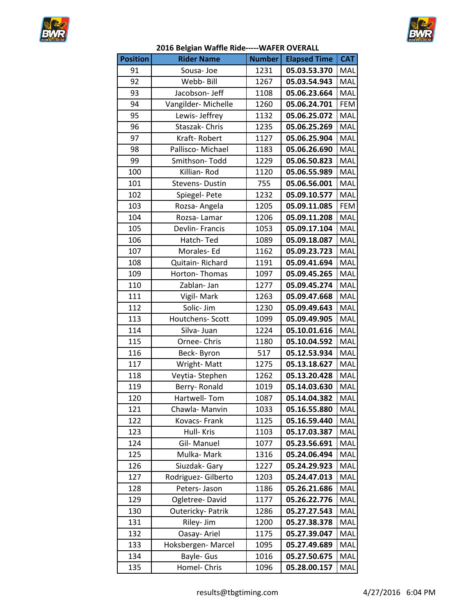



## **2016 Belgian Waffle Ride-----WAFER OVERALL**

| <b>Position</b> | <b>Rider Name</b>   | <b>Number</b> | <b>Elapsed Time</b> | <b>CAT</b> |
|-----------------|---------------------|---------------|---------------------|------------|
| 91              | Sousa-Joe           | 1231          | 05.03.53.370        | MAL        |
| 92              | Webb- Bill          | 1267          | 05.03.54.943        | MAL        |
| 93              | Jacobson- Jeff      | 1108          | 05.06.23.664        | MAL        |
| 94              | Vangilder-Michelle  | 1260          | 05.06.24.701        | FEM        |
| 95              | Lewis-Jeffrey       | 1132          | 05.06.25.072        | MAL        |
| 96              | Staszak-Chris       | 1235          | 05.06.25.269        | MAL        |
| 97              | Kraft-Robert        | 1127          | 05.06.25.904        | MAL        |
| 98              | Pallisco-Michael    | 1183          | 05.06.26.690        | MAL        |
| 99              | Smithson-Todd       | 1229          | 05.06.50.823        | MAL        |
| 100             | Killian-Rod         | 1120          | 05.06.55.989        | <b>MAL</b> |
| 101             | Stevens-Dustin      | 755           | 05.06.56.001        | MAL        |
| 102             | Spiegel- Pete       | 1232          | 05.09.10.577        | MAL        |
| 103             | Rozsa-Angela        | 1205          | 05.09.11.085        | FEM        |
| 104             | Rozsa-Lamar         | 1206          | 05.09.11.208        | MAL        |
| 105             | Devlin- Francis     | 1053          | 05.09.17.104        | MAL        |
| 106             | Hatch-Ted           | 1089          | 05.09.18.087        | MAL        |
| 107             | Morales-Ed          | 1162          | 05.09.23.723        | MAL        |
| 108             | Quitain-Richard     | 1191          | 05.09.41.694        | MAL        |
| 109             | Horton-Thomas       | 1097          | 05.09.45.265        | MAL        |
| 110             | Zablan- Jan         | 1277          | 05.09.45.274        | <b>MAL</b> |
| 111             | Vigil- Mark         | 1263          | 05.09.47.668        | MAL        |
| 112             | Solic- Jim          | 1230          | 05.09.49.643        | MAL        |
| 113             | Houtchens- Scott    | 1099          | 05.09.49.905        | MAL        |
| 114             | Silva- Juan         | 1224          | 05.10.01.616        | MAL        |
| 115             | Ornee- Chris        | 1180          | 05.10.04.592        | MAL        |
| 116             | Beck-Byron          | 517           | 05.12.53.934        | MAL        |
| 117             | Wright-Matt         | 1275          | 05.13.18.627        | MAL        |
| 118             | Veytia-Stephen      | 1262          | 05.13.20.428        | MAL        |
| 119             | Berry-Ronald        | 1019          | 05.14.03.630        | MAL        |
| 120             | Hartwell-Tom        | 1087          | 05.14.04.382        | MAL        |
| 121             | Chawla-Manvin       | 1033          | 05.16.55.880        | MAL        |
| 122             | Kovacs-Frank        | 1125          | 05.16.59.440        | MAL        |
| 123             | Hull- Kris          | 1103          | 05.17.03.387        | MAL        |
| 124             | Gil-Manuel          | 1077          | 05.23.56.691        | MAL        |
| 125             | Mulka-Mark          | 1316          | 05.24.06.494        | MAL        |
| 126             | Siuzdak- Gary       | 1227          | 05.24.29.923        | MAL        |
| 127             | Rodriguez- Gilberto | 1203          | 05.24.47.013        | MAL        |
| 128             | Peters- Jason       | 1186          | 05.26.21.686        | MAL        |
| 129             | Ogletree-David      | 1177          | 05.26.22.776        | MAL        |
| 130             | Outericky- Patrik   | 1286          | 05.27.27.543        | MAL        |
| 131             | Riley- Jim          | 1200          | 05.27.38.378        | MAL        |
| 132             | Oasay- Ariel        | 1175          | 05.27.39.047        | MAL        |
| 133             | Hoksbergen-Marcel   | 1095          | 05.27.49.689        | MAL        |
| 134             | Bayle- Gus          | 1016          | 05.27.50.675        | MAL        |
| 135             | Homel- Chris        | 1096          | 05.28.00.157        | MAL        |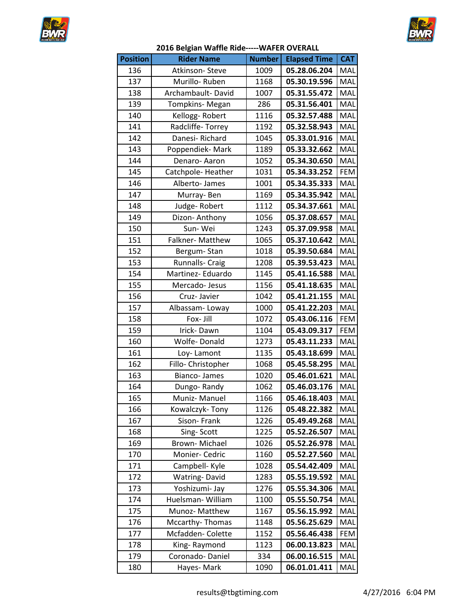



| <b>Position</b> | <b>Rider Name</b>    | <b>Number</b> | <b>Elapsed Time</b> | <b>CAT</b> |
|-----------------|----------------------|---------------|---------------------|------------|
| 136             | Atkinson-Steve       | 1009          | 05.28.06.204        | MAL        |
| 137             | Murillo-Ruben        | 1168          | 05.30.19.596        | MAL        |
| 138             | Archambault-David    | 1007          | 05.31.55.472        | MAL        |
| 139             | Tompkins-Megan       | 286           | 05.31.56.401        | MAL        |
| 140             | Kellogg-Robert       | 1116          | 05.32.57.488        | MAL        |
| 141             | Radcliffe-Torrey     | 1192          | 05.32.58.943        | MAL        |
| 142             | Danesi-Richard       | 1045          | 05.33.01.916        | MAL        |
| 143             | Poppendiek-Mark      | 1189          | 05.33.32.662        | MAL        |
| 144             | Denaro-Aaron         | 1052          | 05.34.30.650        | MAL        |
| 145             | Catchpole-Heather    | 1031          | 05.34.33.252        | <b>FEM</b> |
| 146             | Alberto-James        | 1001          | 05.34.35.333        | MAL        |
| 147             | Murray-Ben           | 1169          | 05.34.35.942        | MAL        |
| 148             | Judge-Robert         | 1112          | 05.34.37.661        | MAL        |
| 149             | Dizon- Anthony       | 1056          | 05.37.08.657        | MAL        |
| 150             | Sun-Wei              | 1243          | 05.37.09.958        | MAL        |
| 151             | Falkner-Matthew      | 1065          | 05.37.10.642        | MAL        |
| 152             | Bergum-Stan          | 1018          | 05.39.50.684        | MAL        |
| 153             | Runnalls- Craig      | 1208          | 05.39.53.423        | MAL        |
| 154             | Martinez- Eduardo    | 1145          | 05.41.16.588        | MAL        |
| 155             | Mercado-Jesus        | 1156          | 05.41.18.635        | MAL        |
| 156             | Cruz-Javier          | 1042          | 05.41.21.155        | MAL        |
| 157             | Albassam-Loway       | 1000          | 05.41.22.203        | MAL        |
| 158             | Fox- Jill            | 1072          | 05.43.06.116        | <b>FEM</b> |
| 159             | Irick-Dawn           | 1104          | 05.43.09.317        | <b>FEM</b> |
| 160             | Wolfe-Donald         | 1273          | 05.43.11.233        | MAL        |
| 161             | Loy-Lamont           | 1135          | 05.43.18.699        | MAL        |
| 162             | Fillo-Christopher    | 1068          | 05.45.58.295        | MAL        |
| 163             | <b>Bianco-James</b>  | 1020          | 05.46.01.621        | MAL        |
| 164             | Dungo-Randy          | 1062          | 05.46.03.176        | MAL        |
| 165             | Muniz- Manuel        | 1166          | 05.46.18.403        | MAL        |
| 166             | Kowalczyk-Tony       | 1126          | 05.48.22.382        | MAL        |
| 167             | Sison-Frank          | 1226          | 05.49.49.268        | MAL        |
| 168             | Sing-Scott           | 1225          | 05.52.26.507        | MAL        |
| 169             | Brown-Michael        | 1026          | 05.52.26.978        | MAL        |
| 170             | Monier- Cedric       | 1160          | 05.52.27.560        | MAL        |
| 171             | Campbell- Kyle       | 1028          | 05.54.42.409        | MAL        |
| 172             | <b>Watring-David</b> | 1283          | 05.55.19.592        | MAL        |
| 173             | Yoshizumi- Jay       | 1276          | 05.55.34.306        | MAL        |
| 174             | Huelsman-William     | 1100          | 05.55.50.754        | MAL        |
| 175             | Munoz- Matthew       | 1167          | 05.56.15.992        | MAL        |
| 176             | Mccarthy-Thomas      | 1148          | 05.56.25.629        | MAL        |
| 177             | Mcfadden-Colette     | 1152          | 05.56.46.438        | <b>FEM</b> |
| 178             | King-Raymond         | 1123          | 06.00.13.823        | MAL        |
| 179             | Coronado-Daniel      | 334           | 06.00.16.515        | MAL        |
| 180             | Hayes-Mark           | 1090          | 06.01.01.411        | MAL        |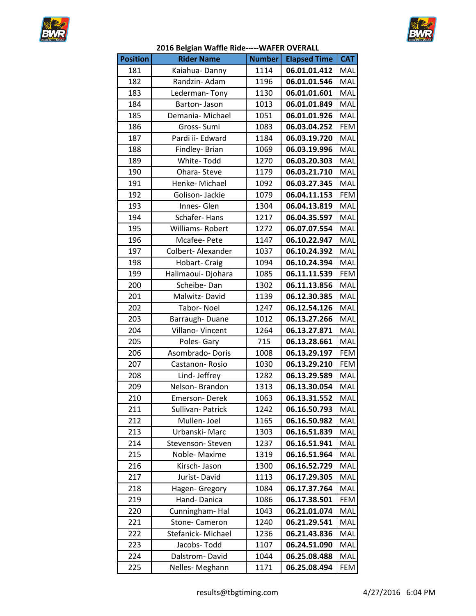



| <b>Position</b> | <b>Rider Name</b> | <b>Number</b> | <b>Elapsed Time</b> | <b>CAT</b> |
|-----------------|-------------------|---------------|---------------------|------------|
| 181             | Kaiahua-Danny     | 1114          | 06.01.01.412        | MAL        |
| 182             | Randzin- Adam     | 1196          | 06.01.01.546        | MAL        |
| 183             | Lederman-Tony     | 1130          | 06.01.01.601        | MAL        |
| 184             | Barton-Jason      | 1013          | 06.01.01.849        | MAL        |
| 185             | Demania-Michael   | 1051          | 06.01.01.926        | MAL        |
| 186             | Gross-Sumi        | 1083          | 06.03.04.252        | FEM        |
| 187             | Pardi ii- Edward  | 1184          | 06.03.19.720        | MAL        |
| 188             | Findley- Brian    | 1069          | 06.03.19.996        | MAL        |
| 189             | White-Todd        | 1270          | 06.03.20.303        | MAL        |
| 190             | Ohara-Steve       | 1179          | 06.03.21.710        | MAL        |
| 191             | Henke-Michael     | 1092          | 06.03.27.345        | MAL        |
| 192             | Golison- Jackie   | 1079          | 06.04.11.153        | FEM        |
| 193             | Innes-Glen        | 1304          | 06.04.13.819        | MAL        |
| 194             | Schafer-Hans      | 1217          | 06.04.35.597        | MAL        |
| 195             | Williams-Robert   | 1272          | 06.07.07.554        | MAL        |
| 196             | Mcafee-Pete       | 1147          | 06.10.22.947        | MAL        |
| 197             | Colbert-Alexander | 1037          | 06.10.24.392        | MAL        |
| 198             | Hobart- Craig     | 1094          | 06.10.24.394        | MAL        |
| 199             | Halimaoui-Djohara | 1085          | 06.11.11.539        | <b>FEM</b> |
| 200             | Scheibe-Dan       | 1302          | 06.11.13.856        | MAL        |
| 201             | Malwitz-David     | 1139          | 06.12.30.385        | MAL        |
| 202             | Tabor-Noel        | 1247          | 06.12.54.126        | MAL        |
| 203             | Barraugh-Duane    | 1012          | 06.13.27.266        | MAL        |
| 204             | Villano-Vincent   | 1264          | 06.13.27.871        | MAL        |
| 205             | Poles-Gary        | 715           | 06.13.28.661        | MAL        |
| 206             | Asombrado-Doris   | 1008          | 06.13.29.197        | <b>FEM</b> |
| 207             | Castanon-Rosio    | 1030          | 06.13.29.210        | <b>FEM</b> |
| 208             | Lind- Jeffrey     | 1282          | 06.13.29.589        | MAL        |
| 209             | Nelson-Brandon    | 1313          | 06.13.30.054        | MAL        |
| 210             | Emerson-Derek     | 1063          | 06.13.31.552        | MAL        |
| 211             | Sullivan- Patrick | 1242          | 06.16.50.793        | MAL        |
| 212             | Mullen-Joel       | 1165          | 06.16.50.982        | MAL        |
| 213             | Urbanski-Marc     | 1303          | 06.16.51.839        | MAL        |
| 214             | Stevenson-Steven  | 1237          | 06.16.51.941        | MAL        |
| 215             | Noble- Maxime     | 1319          | 06.16.51.964        | MAL        |
| 216             | Kirsch- Jason     | 1300          | 06.16.52.729        | MAL        |
| 217             | Jurist-David      | 1113          | 06.17.29.305        | MAL        |
| 218             | Hagen- Gregory    | 1084          | 06.17.37.764        | MAL        |
| 219             | Hand-Danica       | 1086          | 06.17.38.501        | <b>FEM</b> |
| 220             | Cunningham-Hal    | 1043          | 06.21.01.074        | MAL        |
| 221             | Stone- Cameron    | 1240          | 06.21.29.541        | MAL        |
| 222             | Stefanick-Michael | 1236          | 06.21.43.836        | MAL        |
| 223             | Jacobs-Todd       | 1107          | 06.24.51.090        | MAL        |
| 224             | Dalstrom-David    | 1044          | 06.25.08.488        | MAL        |
| 225             | Nelles-Meghann    | 1171          | 06.25.08.494        | FEM        |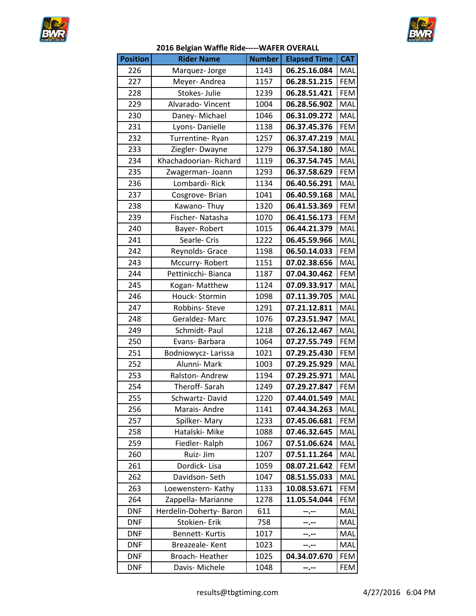



## **2016 Belgian Waffle Ride-----WAFER OVERALL**

| <b>Position</b> | <b>Rider Name</b>       | <b>Number</b> | <b>Elapsed Time</b> | <b>CAT</b> |
|-----------------|-------------------------|---------------|---------------------|------------|
| 226             | Marquez-Jorge           | 1143          | 06.25.16.084        | MAL        |
| 227             | Meyer-Andrea            | 1157          | 06.28.51.215        | <b>FEM</b> |
| 228             | Stokes- Julie           | 1239          | 06.28.51.421        | <b>FEM</b> |
| 229             | Alvarado-Vincent        | 1004          | 06.28.56.902        | MAL        |
| 230             | Daney-Michael           | 1046          | 06.31.09.272        | MAL        |
| 231             | Lyons-Danielle          | 1138          | 06.37.45.376        | <b>FEM</b> |
| 232             | Turrentine-Ryan         | 1257          | 06.37.47.219        | MAL        |
| 233             | Ziegler-Dwayne          | 1279          | 06.37.54.180        | MAL        |
| 234             | Khachadoorian-Richard   | 1119          | 06.37.54.745        | MAL        |
| 235             | Zwagerman-Joann         | 1293          | 06.37.58.629        | <b>FEM</b> |
| 236             | Lombardi-Rick           | 1134          | 06.40.56.291        | MAL        |
| 237             | Cosgrove-Brian          | 1041          | 06.40.59.168        | MAL        |
| 238             | Kawano-Thuy             | 1320          | 06.41.53.369        | <b>FEM</b> |
| 239             | Fischer-Natasha         | 1070          | 06.41.56.173        | <b>FEM</b> |
| 240             | Bayer-Robert            | 1015          | 06.44.21.379        | MAL        |
| 241             | Searle-Cris             | 1222          | 06.45.59.966        | MAL        |
| 242             | Reynolds- Grace         | 1198          | 06.50.14.033        | <b>FEM</b> |
| 243             | Mccurry-Robert          | 1151          | 07.02.38.656        | MAL        |
| 244             | Pettinicchi-Bianca      | 1187          | 07.04.30.462        | <b>FEM</b> |
| 245             | Kogan-Matthew           | 1124          | 07.09.33.917        | MAL        |
| 246             | Houck-Stormin           | 1098          | 07.11.39.705        | MAL        |
| 247             | Robbins-Steve           | 1291          | 07.21.12.811        | MAL        |
| 248             | Geraldez-Marc           | 1076          | 07.23.51.947        | MAL        |
| 249             | Schmidt-Paul            | 1218          | 07.26.12.467        | MAL        |
| 250             | Evans-Barbara           | 1064          | 07.27.55.749        | <b>FEM</b> |
| 251             | Bodniowycz-Larissa      | 1021          | 07.29.25.430        | <b>FEM</b> |
| 252             | Alunni-Mark             | 1003          | 07.29.25.929        | MAL        |
| 253             | Ralston-Andrew          | 1194          | 07.29.25.971        | MAL        |
| 254             | Theroff-Sarah           | 1249          | 07.29.27.847        | <b>FEM</b> |
| 255             | Schwartz-David          | 1220          | 07.44.01.549        | MAL        |
| 256             | Marais-Andre            | 1141          | 07.44.34.263        | MAL        |
| 257             | Spilker-Mary            | 1233          | 07.45.06.681        | <b>FEM</b> |
| 258             | Hatalski-Mike           | 1088          | 07.46.32.645        | MAL        |
| 259             | Fiedler-Ralph           | 1067          | 07.51.06.624        | MAL        |
| 260             | Ruiz- Jim               | 1207          | 07.51.11.264        | MAL        |
| 261             | Dordick-Lisa            | 1059          | 08.07.21.642        | FEM        |
| 262             | Davidson-Seth           | 1047          | 08.51.55.033        | MAL        |
| 263             | Loewenstern- Kathy      | 1133          | 10.08.53.671        | FEM        |
| 264             | Zappella-Marianne       | 1278          | 11.05.54.044        | FEM        |
| <b>DNF</b>      | Herdelin-Doherty- Baron | 611           | --.--               | MAL        |
| <b>DNF</b>      | Stokien-Erik            | 758           | --.--               | MAL        |
| <b>DNF</b>      | Bennett-Kurtis          | 1017          | --.--               | MAL        |
| <b>DNF</b>      | Breazeale-Kent          | 1023          | --.--               | MAL        |
| <b>DNF</b>      | Broach-Heather          | 1025          | 04.34.07.670        | FEM        |
| <b>DNF</b>      | Davis- Michele          | 1048          | --.--               | FEM        |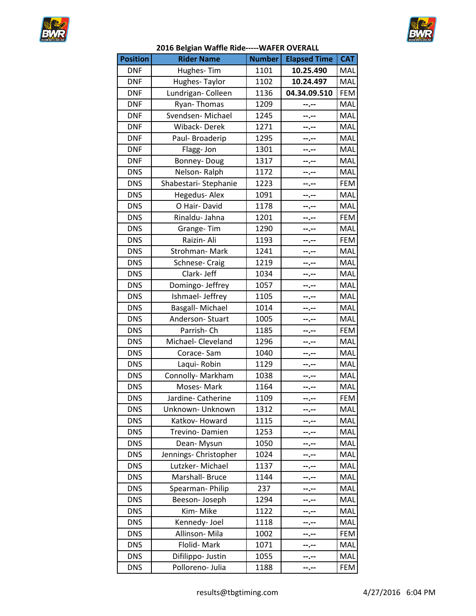



| <b>Position</b> | <b>Rider Name</b>     | <b>Number</b> | <b>Elapsed Time</b> | <b>CAT</b> |
|-----------------|-----------------------|---------------|---------------------|------------|
| <b>DNF</b>      | Hughes-Tim            | 1101          | 10.25.490           | MAL        |
| <b>DNF</b>      | Hughes-Taylor         | 1102          | 10.24.497           | MAL        |
| <b>DNF</b>      | Lundrigan- Colleen    | 1136          | 04.34.09.510        | <b>FEM</b> |
| <b>DNF</b>      | Ryan-Thomas           | 1209          | --.--               | MAL        |
| <b>DNF</b>      | Svendsen-Michael      | 1245          | --.--               | MAL        |
| <b>DNF</b>      | Wiback-Derek          | 1271          | --.--               | MAL        |
| <b>DNF</b>      | Paul-Broaderip        | 1295          | --.--               | MAL        |
| <b>DNF</b>      | Flagg-Jon             | 1301          | --.--               | MAL        |
| <b>DNF</b>      | Bonney-Doug           | 1317          | --.--               | MAL        |
| <b>DNS</b>      | Nelson-Ralph          | 1172          | --.--               | MAL        |
| <b>DNS</b>      | Shabestari-Stephanie  | 1223          | --.--               | <b>FEM</b> |
| <b>DNS</b>      | Hegedus-Alex          | 1091          | --.--               | MAL        |
| <b>DNS</b>      | O Hair-David          | 1178          | --.--               | MAL        |
| <b>DNS</b>      | Rinaldu- Jahna        | 1201          | --.--               | <b>FEM</b> |
| <b>DNS</b>      | Grange-Tim            | 1290          | --.--               | MAL        |
| <b>DNS</b>      | Raizin- Ali           | 1193          | --.--               | <b>FEM</b> |
| <b>DNS</b>      | Strohman-Mark         | 1241          | --.--               | MAL        |
| <b>DNS</b>      | Schnese- Craig        | 1219          | --.--               | MAL        |
| <b>DNS</b>      | Clark-Jeff            | 1034          | --.--               | MAL        |
| <b>DNS</b>      | Domingo- Jeffrey      | 1057          | --.--               | MAL        |
| <b>DNS</b>      | Ishmael- Jeffrey      | 1105          | --.--               | MAL        |
| <b>DNS</b>      | Basgall-Michael       | 1014          | --.--               | MAL        |
| <b>DNS</b>      | Anderson-Stuart       | 1005          | --.--               | MAL        |
| <b>DNS</b>      | Parrish-Ch            | 1185          | --.--               | <b>FEM</b> |
| <b>DNS</b>      | Michael- Cleveland    | 1296          | --.--               | MAL        |
| <b>DNS</b>      | Corace-Sam            | 1040          | --.--               | MAL        |
| <b>DNS</b>      | Laqui-Robin           | 1129          | --.--               | MAL        |
| <b>DNS</b>      | Connolly- Markham     | 1038          | --.--               | MAL        |
| <b>DNS</b>      | Moses-Mark            | 1164          | --.--               | MAL        |
| <b>DNS</b>      | Jardine- Catherine    | 1109          | --.--               | FEM        |
| <b>DNS</b>      | Unknown- Unknown      | 1312          | ……                  | MAL        |
| <b>DNS</b>      | Katkov- Howard        | 1115          | ……                  | MAL        |
| <b>DNS</b>      | Trevino-Damien        | 1253          |                     | MAL        |
| <b>DNS</b>      | Dean-Mysun            | 1050          |                     | MAL        |
| <b>DNS</b>      | Jennings- Christopher | 1024          | --.--               | MAL        |
| <b>DNS</b>      | Lutzker-Michael       | 1137          | --.--               | MAL        |
| <b>DNS</b>      | Marshall- Bruce       | 1144          | ┄.╌                 | MAL        |
| <b>DNS</b>      | Spearman-Philip       | 237           | -.--                | MAL        |
| <b>DNS</b>      | Beeson-Joseph         | 1294          | ┅.╌                 | MAL        |
| <b>DNS</b>      | Kim-Mike              | 1122          | --.--               | MAL        |
| <b>DNS</b>      | Kennedy- Joel         | 1118          | --.--               | MAL        |
| <b>DNS</b>      | Allinson-Mila         | 1002          | --.--               | <b>FEM</b> |
| <b>DNS</b>      | Flolid-Mark           | 1071          | ……                  | MAL        |
| <b>DNS</b>      | Difilippo- Justin     | 1055          | −                   | MAL        |
| <b>DNS</b>      | Polloreno- Julia      | 1188          | --.--               | <b>FEM</b> |